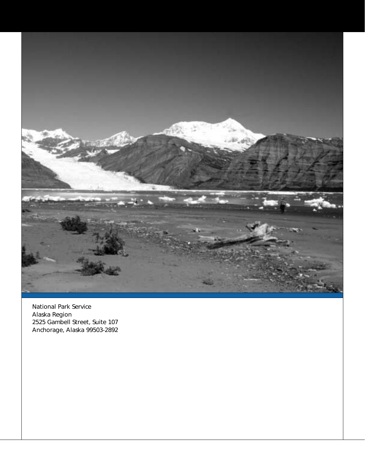

National Park Service Alaska Region 2525 Gambell Street, Suite 107 Anchorage, Alaska 99503-2892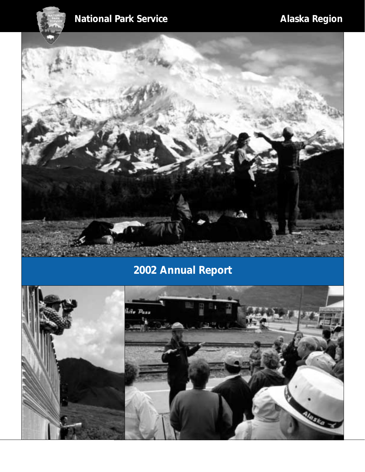# **National Park Service Community Community Alaska Region**



# **2002 Annual Report**

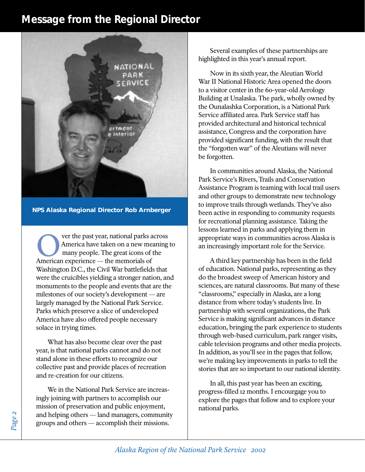#### **Message from the Regional Director**



**NPS Alaska Regional Director Rob Arnberger**

ver the past year, national parks across America have taken on a new meaning to many people. The great icons of the Ver the past year, national parks and the memorial of American experience — the memorials of Washington D.C., the Civil War battlefields that were the cruicibles yielding a stronger nation, and monuments to the people and events that are the milestones of our society's development — are largely managed by the National Park Service. Parks which preserve a slice of undeveloped America have also offered people necessary solace in trying times.

What has also become clear over the past year, is that national parks cannot and do not stand alone in these efforts to recognize our collective past and provide places of recreation and re-creation for our citizens.

We in the National Park Service are increasingly joining with partners to accomplish our mission of preservation and public enjoyment, and helping others — land managers, community groups and others — accomplish their missions.

Several examples of these partnerships are highlighted in this year's annual report.

Now in its sixth year, the Aleutian World War II National Historic Area opened the doors to a visitor center in the 60-year-old Aerology Building at Unalaska. The park, wholly owned by the Ounalashka Corporation, is a National Park Service affiliated area. Park Service staff has provided architectural and historical technical assistance, Congress and the corporation have provided significant funding, with the result that the "forgotten war" of the Aleutians will never be forgotten.

In communities around Alaska, the National Park Service's Rivers, Trails and Conservation Assistance Program is teaming with local trail users and other groups to demonstrate new technology to improve trails through wetlands. They've also been active in responding to community requests for recreational planning assistance. Taking the lessons learned in parks and applying them in appropriate ways in communities across Alaska is an increasingly important role for the Service.

A third key partnership has been in the field of education. National parks, representing as they do the broadest sweep of American history and sciences, are natural classrooms. But many of these "classrooms," especially in Alaska, are a long distance from where today's students live. In partnership with several organizations, the Park Service is making significant advances in distance education, bringing the park experience to students through web-based curriculum, park ranger visits, cable television programs and other media projects. In addition, as you'll see in the pages that follow, we're making key improvements in parks to tell the stories that are so important to our national identity.

In all, this past year has been an exciting, progress-filled 12 months. I encourgage you to explore the pages that follow and to explore your national parks.

*Page 2*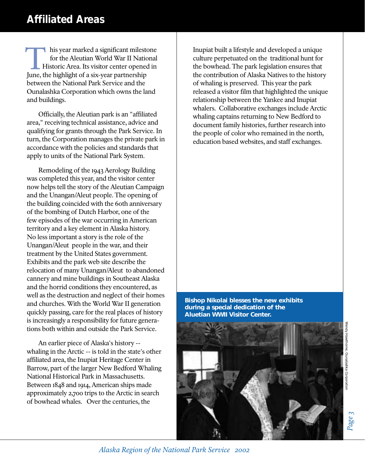## **Affiliated Areas**

his year marked a significant milestone for the Aleutian World War II National Historic Area. Its visitor center opened in Inis year marked a significant milest<br>for the Aleutian World War II Natio<br>Historic Area. Its visitor center openee<br>June, the highlight of a six-year partnership between the National Park Service and the Ounalashka Corporation which owns the land and buildings.

Officially, the Aleutian park is an "affiliated area," receiving technical assistance, advice and qualifying for grants through the Park Service. In turn, the Corporation manages the private park in accordance with the policies and standards that apply to units of the National Park System.

Remodeling of the 1943 Aerology Building was completed this year, and the visitor center now helps tell the story of the Aleutian Campaign and the Unangan/Aleut people. The opening of the building coincided with the 60th anniversary of the bombing of Dutch Harbor, one of the few episodes of the war occurring in American territory and a key element in Alaska history. No less important a story is the role of the Unangan/Aleut people in the war, and their treatment by the United States government. Exhibits and the park web site describe the relocation of many Unangan/Aleut to abandoned cannery and mine buildings in Southeast Alaska and the horrid conditions they encountered, as well as the destruction and neglect of their homes and churches. With the World War II generation quickly passing, care for the real places of history is increasingly a responsibility for future generations both within and outside the Park Service.

An earlier piece of Alaska's history - whaling in the Arctic -- is told in the state's other affiliated area, the Inupiat Heritage Center in Barrow, part of the larger New Bedford Whaling National Historical Park in Massachusetts. Between 1848 and 1914, American ships made approximately 2,700 trips to the Arctic in search of bowhead whales. Over the centuries, the

Inupiat built a lifestyle and developed a unique culture perpetuated on the traditional hunt for the bowhead. The park legislation ensures that the contribution of Alaska Natives to the history of whaling is preserved. This year the park released a visitor film that highlighted the unique relationship between the Yankee and Inupiat whalers. Collaborative exchanges include Arctic whaling captains returning to New Bedford to document family histories, further research into the people of color who remained in the north, education based websites, and staff exchanges.

**Bishop Nikolai blesses the new exhibits during a special dedication of the Aluetian WWII Visitor Center.**



*Page 3*

*Alaska Region of the National Park Service 2002*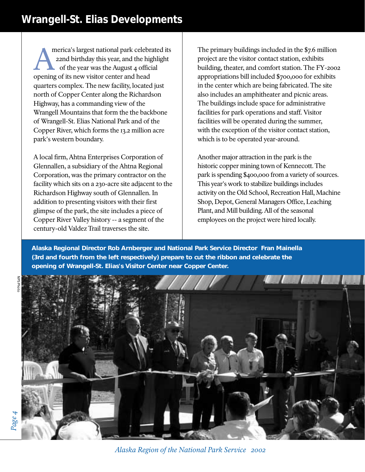## **Wrangell-St. Elias Developments**

merica's largest national park celebrated its 22nd birthday this year, and the highlight of the year was the August 4 official merica's largest national park celebral park celebration and the higher of the year was the August 4 office opening of its new visitor center and head quarters complex. The new facility, located just north of Copper Center along the Richardson Highway, has a commanding view of the Wrangell Mountains that form the the backbone of Wrangell-St. Elias National Park and of the Copper River, which forms the 13.2 million acre park's western boundary.

A local firm, Ahtna Enterprises Corporation of Glennallen, a subsidiary of the Ahtna Regional Corporation, was the primary contractor on the facility which sits on a 230-acre site adjacent to the Richardson Highway south of Glennallen. In addition to presenting visitors with their first glimpse of the park, the site includes a piece of Copper River Valley history -- a segment of the century-old Valdez Trail traverses the site.

The primary buildings included in the \$7.6 million project are the visitor contact station, exhibits building, theater, and comfort station. The FY-2002 appropriations bill included \$700,000 for exhibits in the center which are being fabricated. The site also includes an amphitheater and picnic areas. The buildings include space for administrative facilities for park operations and staff. Visitor facilities will be operated during the summer, with the exception of the visitor contact station, which is to be operated year-around.

Another major attraction in the park is the historic copper mining town of Kennecott. The park is spending \$400,000 from a variety of sources. This year's work to stabilize buildings includes activity on the Old School, Recreation Hall, Machine Shop, Depot, General Managers Office, Leaching Plant, and Mill building. All of the seasonal employees on the project were hired locally.

**Alaska Regional Director Rob Arnberger and National Park Service Director Fran Mainella (3rd and fourth from the left respectively) prepare to cut the ribbon and celebrate the opening of Wrangell-St. Elias's Visitor Center near Copper Center.**



*Alaska Region of the National Park Service 2002*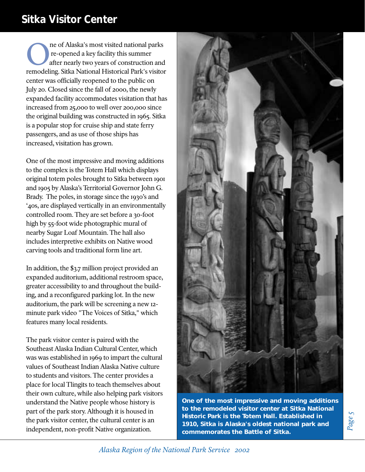## **Sitka Visitor Center**

ne of Alaska's most visited national parks re-opened a key facility this summer after nearly two years of construction and The of Alaska's most visited national parks<br>
re-opened a key facility this summer<br>
after nearly two years of construction and<br>
remodeling. Sitka National Historical Park's visitor center was officially reopened to the public on July 20. Closed since the fall of 2000, the newly expanded facility accommodates visitation that has increased from 25,000 to well over 200,000 since the original building was constructed in 1965. Sitka is a popular stop for cruise ship and state ferry passengers, and as use of those ships has increased, visitation has grown.

One of the most impressive and moving additions to the complex is the Totem Hall which displays original totem poles brought to Sitka between 1901 and 1905 by Alaska's Territorial Governor John G. Brady. The poles, in storage since the 1930's and '40s, are displayed vertically in an environmentally controlled room. They are set before a 30-foot high by 55-foot wide photographic mural of nearby Sugar Loaf Mountain. The hall also includes interpretive exhibits on Native wood carving tools and traditional form line art.

In addition, the \$3.7 million project provided an expanded auditorium, additional restroom space, greater accessibility to and throughout the building, and a reconfigured parking lot. In the new auditorium, the park will be screening a new 12 minute park video "The Voices of Sitka," which features many local residents.

The park visitor center is paired with the Southeast Alaska Indian Cultural Center, which was was established in 1969 to impart the cultural values of Southeast Indian Alaska Native culture to students and visitors. The center provides a place for local Tlingits to teach themselves about their own culture, while also helping park visitors understand the Native people whose history is part of the park story. Although it is housed in the park visitor center, the cultural center is an independent, non-profit Native organization.



**One of the most impressive and moving additions to the remodeled visitor center at Sitka National Historic Park is the Totem Hall. Established in 1910, Sitka is Alaska's oldest national park and commemorates the Battle of Sitka.**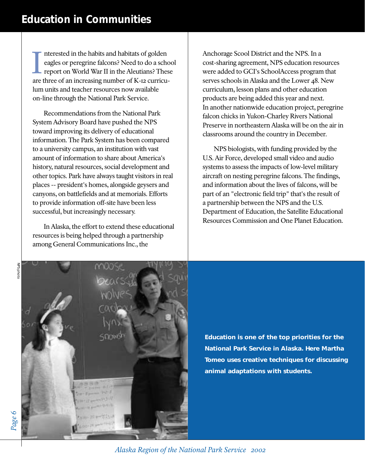nterested in the habits and habitats of golden eagles or peregrine falcons? Need to do a school report on World War II in the Aleutians? These Interested in the habits and habitats of golden eagles or peregrine falcons? Need to do a schore report on World War II in the Aleutians? Thes are three of an increasing number of K-12 curriculum units and teacher resources now available on-line through the National Park Service.

Recommendations from the National Park System Advisory Board have pushed the NPS toward improving its delivery of educational information. The Park System has been compared to a university campus, an institution with vast amount of information to share about America's history, natural resources, social development and other topics. Park have always taught visitors in real places -- president's homes, alongside geysers and canyons, on battlefields and at memorials. Efforts to provide information off-site have been less successful, but increasingly necessary.

In Alaska, the effort to extend these educational resources is being helped through a partnership among General Communications Inc., the

Anchorage Scool District and the NPS. In a cost-sharing agreement, NPS education resources were added to GCI's SchoolAccess program that serves schools in Alaska and the Lower 48. New curriculum, lesson plans and other education products are being added this year and next. In another nationwide education project, peregrine falcon chicks in Yukon-Charley Rivers National Preserve in northeastern Alaska will be on the air in classrooms around the country in December.

NPS biologists, with funding provided by the U.S. Air Force, developed small video and audio systems to assess the impacts of low-level military aircraft on nesting peregrine falcons. The findings, and information about the lives of falcons, will be part of an "electronic field trip" that's the result of a partnership between the NPS and the U.S. Department of Education, the Satellite Educational Resources Commission and One Planet Education.



**Education is one of the top priorities for the National Park Service in Alaska. Here Martha Tomeo uses creative techniques for discussing animal adaptations with students.**

*Alaska Region of the National Park Service 2002*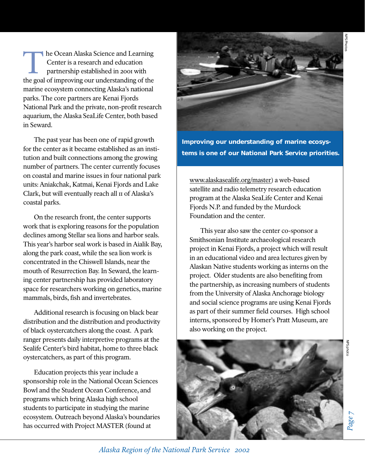he Ocean Alaska Science and Learning Center is a research and education partnership established in 2001 with The Ocean Alaska Science and Learning<br>
Center is a research and education<br>
partnership established in 2001 with<br>
the goal of improving our understanding of the marine ecosystem connecting Alaska's national parks. The core partners are Kenai Fjords National Park and the private, non-profit research aquarium, the Alaska SeaLife Center, both based in Seward.

The past year has been one of rapid growth for the center as it became established as an institution and built connections among the growing number of partners. The center currently focuses on coastal and marine issues in four national park units: Aniakchak, Katmai, Kenai Fjords and Lake Clark, but will eventually reach all 11 of Alaska's coastal parks.

On the research front, the center supports work that is exploring reasons for the population declines among Stellar sea lions and harbor seals. This year's harbor seal work is based in Aialik Bay, along the park coast, while the sea lion work is concentrated in the Chiswell Islands, near the mouth of Resurrection Bay. In Seward, the learning center partnership has provided laboratory space for researchers working on genetics, marine mammals, birds, fish and invertebrates.

Additional research is focusing on black bear distribution and the distribution and productivity of black oystercatchers along the coast. A park ranger presents daily interpretive programs at the Sealife Center's bird habitat, home to three black oystercatchers, as part of this program.

Education projects this year include a sponsorship role in the National Ocean Sciences Bowl and the Student Ocean Conference, and programs which bring Alaska high school students to participate in studying the marine ecosystem. Outreach beyond Alaska's boundaries has occurred with Project MASTER (found at



**Improving our understanding of marine ecosystems is one of our National Park Service priorities.**

www.alaskasealife.org/master) a web-based satellite and radio telemetry research education program at the Alaska SeaLife Center and Kenai Fjords N.P. and funded by the Murdock Foundation and the center.

This year also saw the center co-sponsor a Smithsonian Institute archaeological research project in Kenai Fjords, a project which will result in an educational video and area lectures given by Alaskan Native students working as interns on the project. Older students are also benefiting from the partnership, as increasing numbers of students from the University of Alaska Anchorage biology and social science programs are using Kenai Fjords as part of their summer field courses. High school interns, sponsored by Homer's Pratt Museum, are also working on the project.



*Alaska Region of the National Park Service 2002*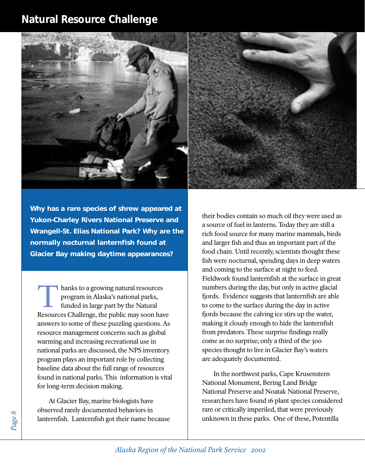### **Natural Resource Challenge**





**Why has a rare species of shrew appeared at Yukon-Charley Rivers National Preserve and Wrangell-St. Elias National Park? Why are the normally nocturnal lanternfish found at Glacier Bay making daytime appearances?** 

hanks to a growing natural resources program in Alaska's national parks, funded in large part by the Natural I hanks to a growing natural resources<br>program in Alaska's national parks,<br>funded in large part by the Natural<br>Resources Challenge, the public may soon have answers to some of these puzzling questions. As resource management concerns such as global warming and increasing recreational use in national parks are discussed, the NPS inventory program plays an important role by collecting baseline data about the full range of resources found in national parks. This information is vital for long-term decision making.

At Glacier Bay, marine biologists have observed rarely documented behaviors in lanternfish. Lanternfish got their name because their bodies contain so much oil they were used as a source of fuel in lanterns. Today they are still a rich food source for many marine mammals, birds and larger fish and thus an important part of the food chain. Until recently, scientists thought these fish were nocturnal, spending days in deep waters and coming to the surface at night to feed. Fieldwork found lanternfish at the surface in great numbers during the day, but only in active glacial fjords. Evidence suggests that lanternfish are able to come to the surface during the day in active fjords because the calving ice stirs up the water, making it cloudy enough to hide the lanternfish from predators. These surprise findings really come as no surprise; only a third of the 300 species thought to live in Glacier Bay's waters are adequately documented.

In the northwest parks, Cape Krusenstern National Monument, Bering Land Bridge National Preserve and Noatak National Preserve, researchers have found 16 plant species considered rare or critically imperiled, that were previously unknown in these parks. One of these, Potentilla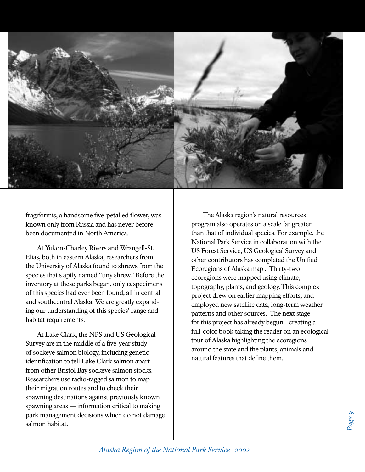

fragiformis, a handsome five-petalled flower, was known only from Russia and has never before been documented in North America.

At Yukon-Charley Rivers and Wrangell-St. Elias, both in eastern Alaska, researchers from the University of Alaska found 10 shrews from the species that's aptly named "tiny shrew." Before the inventory at these parks began, only 12 specimens of this species had ever been found, all in central and southcentral Alaska. We are greatly expanding our understanding of this species' range and habitat requirements.

At Lake Clark, the NPS and US Geological Survey are in the middle of a five-year study of sockeye salmon biology, including genetic identification to tell Lake Clark salmon apart from other Bristol Bay sockeye salmon stocks. Researchers use radio-tagged salmon to map their migration routes and to check their spawning destinations against previously known spawning areas — information critical to making park management decisions which do not damage salmon habitat.

The Alaska region's natural resources program also operates on a scale far greater than that of individual species. For example, the National Park Service in collaboration with the US Forest Service, US Geological Survey and other contributors has completed the Unified Ecoregions of Alaska map . Thirty-two ecoregions were mapped using climate, topography, plants, and geology. This complex project drew on earlier mapping efforts, and employed new satellite data, long-term weather patterns and other sources. The next stage for this project has already begun - creating a full-color book taking the reader on an ecological tour of Alaska highlighting the ecoregions around the state and the plants, animals and natural features that define them.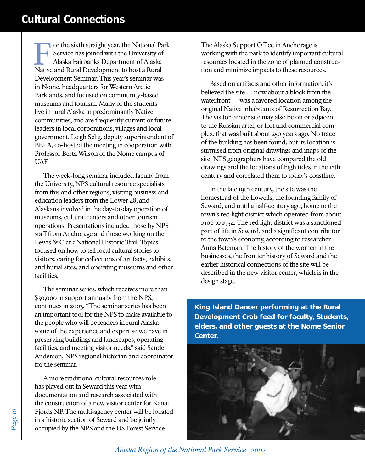### **Cultural Connections**

or the sixth straight year, the National Park Service has joined with the University of Alaska Fairbanks Department of Alaska The Service has joined with the University of Alaska Fairbanks Department of Alaska<br>Native and Rural Development to host a Rural Development Seminar. This year's seminar was in Nome, headquarters for Western Arctic Parklands, and focused on community-based museums and tourism. Many of the students live in rural Alaska in predominantly Native communities, and are frequently current or future leaders in local corporations, villages and local government. Leigh Selig, deputy superintendent of BELA, co-hosted the meeting in cooperation with Professor Berta Wilson of the Nome campus of UAF.

The week-long seminar included faculty from the University, NPS cultural resource specialists from this and other regions, visiting business and education leaders from the Lower 48, and Alaskans involved in the day-to-day operation of museums, cultural centers and other tourism operations. Presentations included those by NPS staff from Anchorage and those working on the Lewis & Clark National Historic Trail. Topics focused on how to tell local cultural stories to visitors, caring for collections of artifacts, exhibits, and burial sites, and operating museums and other facilities.

The seminar series, which receives more than \$30,000 in support annually from the NPS, continues in 2003. "The seminar series has been an important tool for the NPS to make available to the people who will be leaders in rural Alaska some of the experience and expertise we have in preserving buildings and landscapes, operating facilities, and meeting visitor needs," said Sande Anderson, NPS regional historian and coordinator for the seminar.

A more traditional cultural resources role has played out in Seward this year with documentation and research associated with the construction of a new visitor center for Kenai Fjords NP. The multi-agency center will be located in a historic section of Seward and be jointly occupied by the NPS and the US Forest Service.

The Alaska Support Office in Anchorage is working with the park to identify important cultural resources located in the zone of planned construction and minimize impacts to these resources.

Based on artifacts and other information, it's believed the site — now about a block from the waterfront — was a favored location among the original Native inhabitants of Resurrection Bay. The visitor center site may also be on or adjacent to the Russian artel, or fort and commercial complex, that was built about 250 years ago. No trace of the building has been found, but its location is surmised from original drawings and maps of the site. NPS geographers have compared the old drawings and the locations of high tides in the 18th century and correlated them to today's coastline.

In the late 19th century, the site was the homestead of the Lowells, the founding family of Seward, and until a half-century ago, home to the town's red light district which operated from about 1906 to 1954. The red light district was a sanctioned part of life in Seward, and a significant contributor to the town's economy, according to researcher Anna Bateman. The history of the women in the businesses, the frontier history of Seward and the earlier historical connections of the site will be described in the new visitor center, which is in the design stage.

**King Island Dancer performing at the Rural Development Crab feed for faculty, Students, elders, and other guests at the Nome Senior Center.**

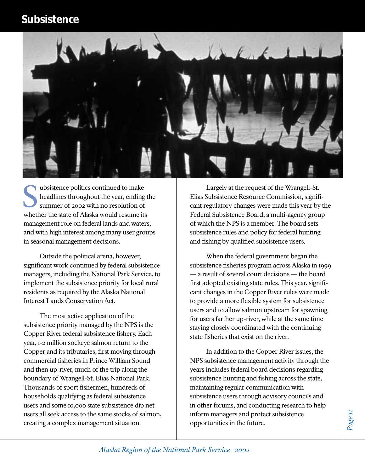

ubsistence politics continued to make headlines throughout the year, ending the summer of 2002 with no resolution of whether the state of Alaska would resume its<br>
Summer of 2002 with no resolution of<br>
whether the state of Alaska would resume its<br>
Summer its management role on federal lands and waters, and with high interest among many user groups in seasonal management decisions.

Outside the political arena, however, significant work continued by federal subsistence managers, including the National Park Service, to implement the subsistence priority for local rural residents as required by the Alaska National Interest Lands Conservation Act.

The most active application of the subsistence priority managed by the NPS is the Copper River federal subsistence fishery. Each year, 1-2 million sockeye salmon return to the Copper and its tributaries, first moving through commercial fisheries in Prince William Sound and then up-river, much of the trip along the boundary of Wrangell-St. Elias National Park. Thousands of sport fishermen, hundreds of households qualifying as federal subsistence users and some 10,000 state subsistence dip net users all seek access to the same stocks of salmon, creating a complex management situation.

Largely at the request of the Wrangell-St. Elias Subsistence Resource Commission, significant regulatory changes were made this year by the Federal Subsistence Board, a multi-agency group of which the NPS is a member. The board sets subsistence rules and policy for federal hunting and fishing by qualified subsistence users.

When the federal government began the subsistence fisheries program across Alaska in 1999 — a result of several court decisions — the board first adopted existing state rules. This year, significant changes in the Copper River rules were made to provide a more flexible system for subsistence users and to allow salmon upstream for spawning for users farther up-river, while at the same time staying closely coordinated with the continuing state fisheries that exist on the river.

In addition to the Copper River issues, the NPS subsistence management activity through the years includes federal board decisions regarding subsistence hunting and fishing across the state, maintaining regular communication with subsistence users through advisory councils and in other forums, and conducting research to help inform managers and protect subsistence opportunities in the future.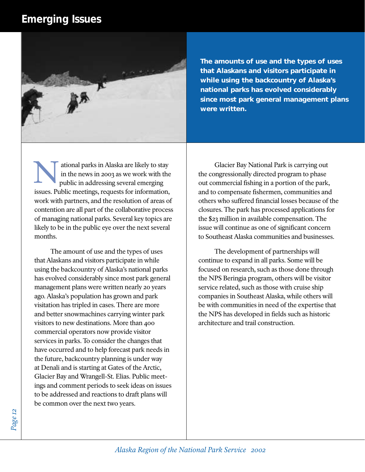#### **Emerging Issues**



**The amounts of use and the types of uses that Alaskans and visitors participate in while using the backcountry of Alaska's national parks has evolved considerably since most park general management plans were written.**

ational parks in Alaska are likely to stay in the news in 2003 as we work with the public in addressing several emerging issues. Public meetings, requests for information, work with partners, and the resolution of areas of contention are all part of the collaborative process of managing national parks. Several key topics are likely to be in the public eye over the next several months. N

The amount of use and the types of uses that Alaskans and visitors participate in while using the backcountry of Alaska's national parks has evolved considerably since most park general management plans were written nearly 20 years ago. Alaska's population has grown and park visitation has tripled in cases. There are more and better snowmachines carrying winter park visitors to new destinations. More than 400 commercial operators now provide visitor services in parks. To consider the changes that have occurred and to help forecast park needs in the future, backcountry planning is under way at Denali and is starting at Gates of the Arctic, Glacier Bay and Wrangell-St. Elias. Public meetings and comment periods to seek ideas on issues to be addressed and reactions to draft plans will be common over the next two years.

Glacier Bay National Park is carrying out the congressionally directed program to phase out commercial fishing in a portion of the park, and to compensate fishermen, communities and others who suffered financial losses because of the closures. The park has processed applications for the \$23 million in available compensation. The issue will continue as one of significant concern to Southeast Alaska communities and businesses.

The development of partnerships will continue to expand in all parks. Some will be focused on research, such as those done through the NPS Beringia program, others will be visitor service related, such as those with cruise ship companies in Southeast Alaska, while others will be with communities in need of the expertise that the NPS has developed in fields such as historic architecture and trail construction.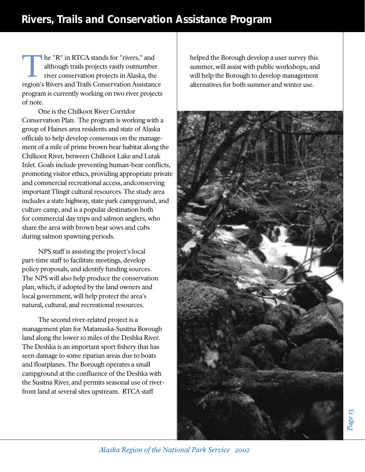he "R" in RTCA stands for "rivers," and although trails projects vastly outnumber river conservation projects in Alaska, the region's Rivers and Trails Conservation Assistance program is currently working on two river projects of note. The "R" in RTCA stands for "rivers," and<br>although trails projects vastly outnumber<br>river conservation projects in Alaska, the<br>management planner, will assist with public workshops, and<br>although to develop management

One is the Chilkoot River Corridor Conservation Plan. The program is working with a group of Haines area residents and state of Alaska officials to help develop consensus on the management of a mile of prime brown bear habitat along the Chilkoot River, between Chilkoot Lake and Lutak Inlet. Goals include preventing human-bear conflicts, promoting visitor ethics, providing appropriate private and commercial recreational access, andconserving important Tlingit cultural resources. The study area includes a state highway, state park campground, and culture camp, and is a popular destination both for commercial day trips and salmon anglers, who share the area with brown bear sows and cubs during salmon spawning periods.

NPS staff is assisting the project's local part-time staff to facilitate meetings, develop policy proposals, and identify funding sources. The NPS will also help produce the conservation plan, which, if adopted by the land owners and local government, will help protect the area's natural, cultural, and recreational resources.

The second river-related project is a management plan for Matanuska-Susitna Borough land along the lower 10 miles of the Deshka River. The Deshka is an important sport fishery that has seen damage to some riparian areas due to boats and floatplanes. The Borough operates a small campground at the confluence of the Deshka with the Susitna River, and permits seasonal use of riverfront land at several sites upstream. RTCA staff

helped the Borough develop a user survey this summer, will assist with public workshops, and alternatives for both summer and winter use.



*Alaska Region of the National Park Service 2002*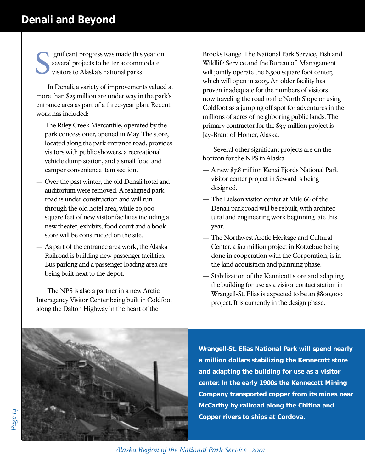### **Denali and Beyond**

ignificant progress was made this year on several projects to better accommodate visitors to Alaska's national parks. S

In Denali, a variety of improvements valued at more than \$25 million are under way in the park's entrance area as part of a three-year plan. Recent work has included:

- The Riley Creek Mercantile, operated by the park concessioner, opened in May. The store, located along the park entrance road, provides visitors with public showers, a recreational vehicle dump station, and a small food and camper convenience item section.
- Over the past winter, the old Denali hotel and auditorium were removed. A realigned park road is under construction and will run through the old hotel area, while 20,000 square feet of new visitor facilities including a new theater, exhibits, food court and a bookstore will be constructed on the site.
- As part of the entrance area work, the Alaska Railroad is building new passenger facilities. Bus parking and a passenger loading area are being built next to the depot.

The NPS is also a partner in a new Arctic Interagency Visitor Center being built in Coldfoot along the Dalton Highway in the heart of the

Brooks Range. The National Park Service, Fish and Wildlife Service and the Bureau of Management will jointly operate the 6,500 square foot center, which will open in 2003. An older facility has proven inadequate for the numbers of visitors now traveling the road to the North Slope or using Coldfoot as a jumping off spot for adventures in the millions of acres of neighboring public lands. The primary contractor for the \$3.7 million project is Jay-Brant of Homer, Alaska.

Several other significant projects are on the horizon for the NPS in Alaska.

- A new \$7.8 million Kenai Fjords National Park visitor center project in Seward is being designed.
- The Eielson visitor center at Mile 66 of the Denali park road will be rebuilt, with architectural and engineering work beginning late this year.
- The Northwest Arctic Heritage and Cultural Center, a \$12 million project in Kotzebue being done in cooperation with the Corporation, is in the land acquisition and planning phase.
- Stabilization of the Kennicott store and adapting the building for use as a visitor contact station in Wrangell-St. Elias is expected to be an \$800,000 project. It is currently in the design phase.



**Wrangell-St. Elias National Park will spend nearly a million dollars stabilizing the Kennecott store and adapting the building for use as a visitor center. In the early 1900s the Kennecott Mining Company transported copper from its mines near McCarthy by railroad along the Chitina and Copper rivers to ships at Cordova.**